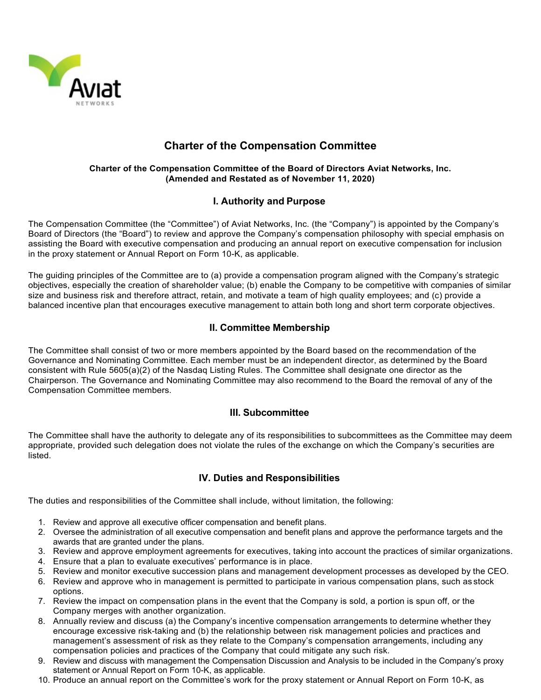

# **Charter of the Compensation Committee**

#### **Charter of the Compensation Committee of the Board of Directors Aviat Networks, Inc. (Amended and Restated as of November 11, 2020)**

## **I. Authority and Purpose**

The Compensation Committee (the "Committee") of Aviat Networks, Inc. (the "Company") is appointed by the Company's Board of Directors (the "Board") to review and approve the Company's compensation philosophy with special emphasis on assisting the Board with executive compensation and producing an annual report on executive compensation for inclusion in the proxy statement or Annual Report on Form 10-K, as applicable.

The guiding principles of the Committee are to (a) provide a compensation program aligned with the Company's strategic objectives, especially the creation of shareholder value; (b) enable the Company to be competitive with companies of similar size and business risk and therefore attract, retain, and motivate a team of high quality employees; and (c) provide a balanced incentive plan that encourages executive management to attain both long and short term corporate objectives.

## **II. Committee Membership**

The Committee shall consist of two or more members appointed by the Board based on the recommendation of the Governance and Nominating Committee. Each member must be an independent director, as determined by the Board consistent with Rule 5605(a)(2) of the Nasdaq Listing Rules. The Committee shall designate one director as the Chairperson. The Governance and Nominating Committee may also recommend to the Board the removal of any of the Compensation Committee members.

## **III. Subcommittee**

The Committee shall have the authority to delegate any of its responsibilities to subcommittees as the Committee may deem appropriate, provided such delegation does not violate the rules of the exchange on which the Company's securities are listed.

## **IV. Duties and Responsibilities**

The duties and responsibilities of the Committee shall include, without limitation, the following:

- 1. Review and approve all executive officer compensation and benefit plans.
- 2. Oversee the administration of all executive compensation and benefit plans and approve the performance targets and the awards that are granted under the plans.
- 3. Review and approve employment agreements for executives, taking into account the practices of similar organizations.
- 4. Ensure that a plan to evaluate executives' performance is in place.
- 5. Review and monitor executive succession plans and management development processes as developed by the CEO.
- 6. Review and approve who in management is permitted to participate in various compensation plans, such as stock options.
- 7. Review the impact on compensation plans in the event that the Company is sold, a portion is spun off, or the Company merges with another organization.
- 8. Annually review and discuss (a) the Company's incentive compensation arrangements to determine whether they encourage excessive risk-taking and (b) the relationship between risk management policies and practices and management's assessment of risk as they relate to the Company's compensation arrangements, including any compensation policies and practices of the Company that could mitigate any such risk.
- 9. Review and discuss with management the Compensation Discussion and Analysis to be included in the Company's proxy statement or Annual Report on Form 10-K, as applicable.
- 10. Produce an annual report on the Committee's work for the proxy statement or Annual Report on Form 10-K, as